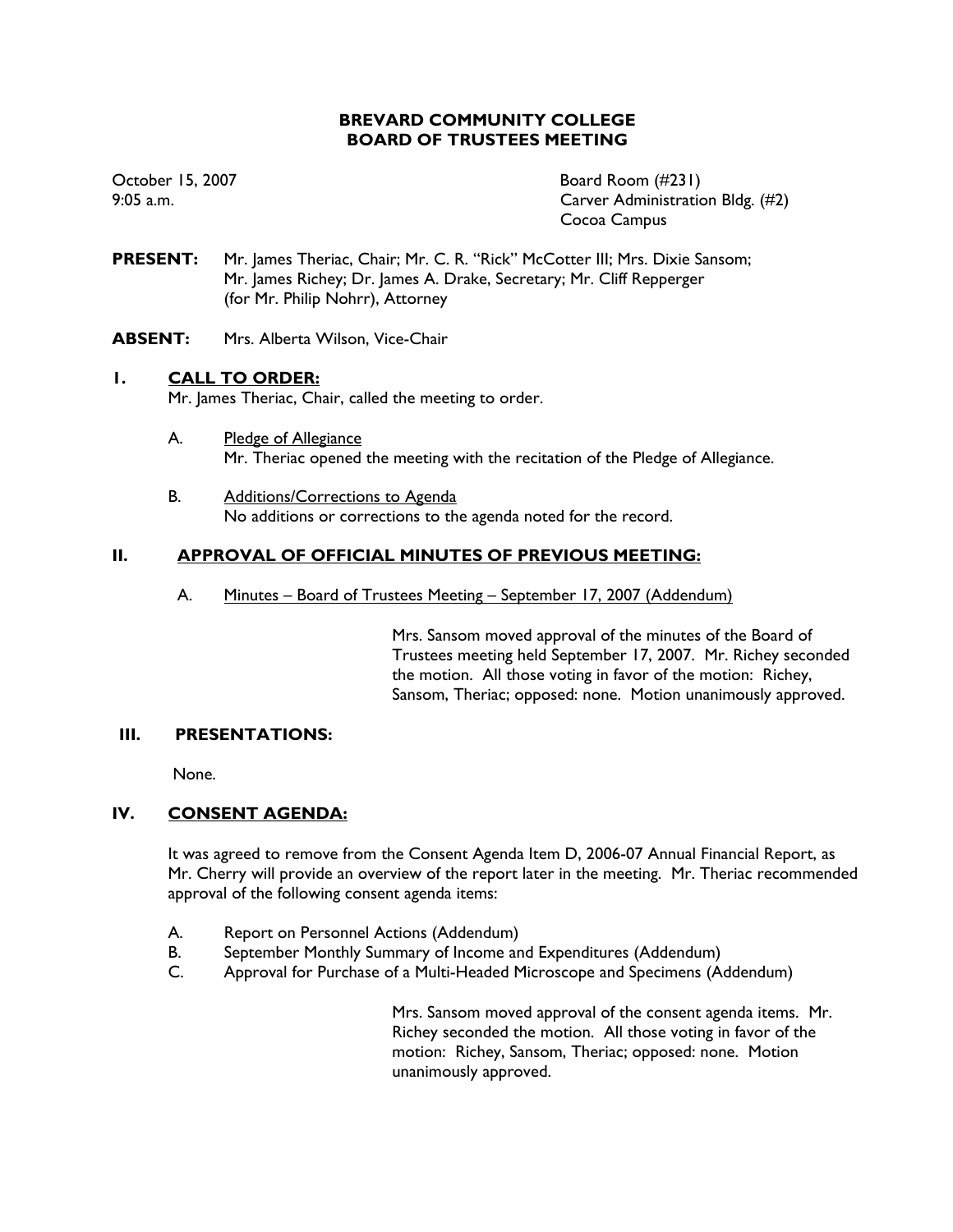# **BREVARD COMMUNITY COLLEGE BOARD OF TRUSTEES MEETING**

October 15, 2007 Board Room (#231) 9:05 a.m. Carver Administration Bldg. (#2) Cocoa Campus

- **PRESENT:** Mr. James Theriac, Chair; Mr. C. R. "Rick" McCotter III; Mrs. Dixie Sansom; Mr. James Richey; Dr. James A. Drake, Secretary; Mr. Cliff Repperger (for Mr. Philip Nohrr), Attorney
- **ABSENT:** Mrs. Alberta Wilson, Vice-Chair

# **1. CALL TO ORDER:**

Mr. James Theriac, Chair, called the meeting to order.

- A. Pledge of Allegiance Mr. Theriac opened the meeting with the recitation of the Pledge of Allegiance.
- B. Additions/Corrections to Agenda No additions or corrections to the agenda noted for the record.

# **II. APPROVAL OF OFFICIAL MINUTES OF PREVIOUS MEETING:**

A. Minutes – Board of Trustees Meeting – September 17, 2007 (Addendum)

Mrs. Sansom moved approval of the minutes of the Board of Trustees meeting held September 17, 2007. Mr. Richey seconded the motion. All those voting in favor of the motion: Richey, Sansom, Theriac; opposed: none. Motion unanimously approved.

## **III. PRESENTATIONS:**

None.

## **IV. CONSENT AGENDA:**

It was agreed to remove from the Consent Agenda Item D, 2006-07 Annual Financial Report, as Mr. Cherry will provide an overview of the report later in the meeting. Mr. Theriac recommended approval of the following consent agenda items:

- A. Report on Personnel Actions (Addendum)
- B. September Monthly Summary of Income and Expenditures (Addendum)
- C. Approval for Purchase of a Multi-Headed Microscope and Specimens (Addendum)

Mrs. Sansom moved approval of the consent agenda items. Mr. Richey seconded the motion. All those voting in favor of the motion: Richey, Sansom, Theriac; opposed: none. Motion unanimously approved.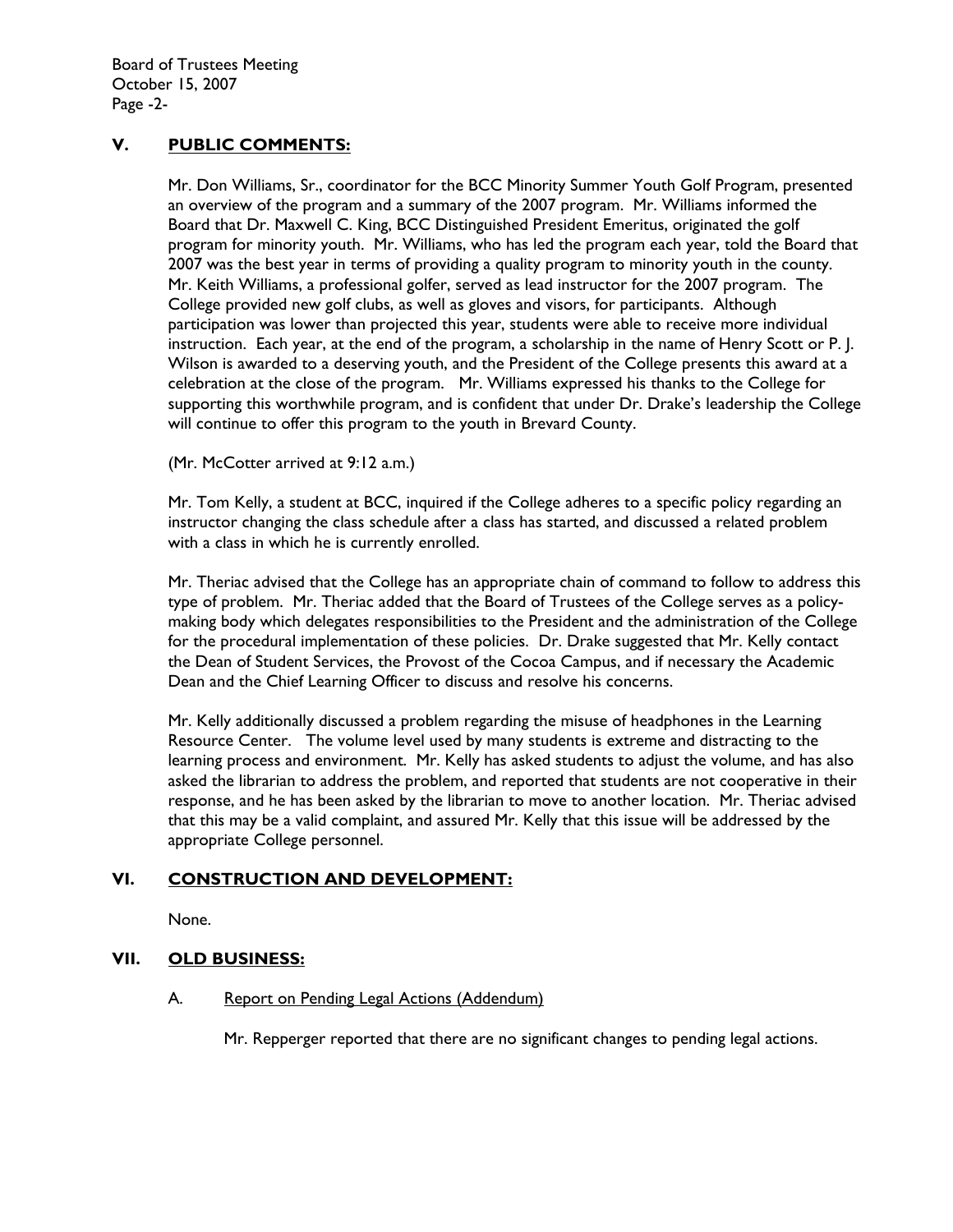# **V. PUBLIC COMMENTS:**

Mr. Don Williams, Sr., coordinator for the BCC Minority Summer Youth Golf Program, presented an overview of the program and a summary of the 2007 program. Mr. Williams informed the Board that Dr. Maxwell C. King, BCC Distinguished President Emeritus, originated the golf program for minority youth. Mr. Williams, who has led the program each year, told the Board that 2007 was the best year in terms of providing a quality program to minority youth in the county. Mr. Keith Williams, a professional golfer, served as lead instructor for the 2007 program. The College provided new golf clubs, as well as gloves and visors, for participants. Although participation was lower than projected this year, students were able to receive more individual instruction. Each year, at the end of the program, a scholarship in the name of Henry Scott or P. J. Wilson is awarded to a deserving youth, and the President of the College presents this award at a celebration at the close of the program. Mr. Williams expressed his thanks to the College for supporting this worthwhile program, and is confident that under Dr. Drake's leadership the College will continue to offer this program to the youth in Brevard County.

(Mr. McCotter arrived at 9:12 a.m.)

Mr. Tom Kelly, a student at BCC, inquired if the College adheres to a specific policy regarding an instructor changing the class schedule after a class has started, and discussed a related problem with a class in which he is currently enrolled.

Mr. Theriac advised that the College has an appropriate chain of command to follow to address this type of problem. Mr. Theriac added that the Board of Trustees of the College serves as a policymaking body which delegates responsibilities to the President and the administration of the College for the procedural implementation of these policies. Dr. Drake suggested that Mr. Kelly contact the Dean of Student Services, the Provost of the Cocoa Campus, and if necessary the Academic Dean and the Chief Learning Officer to discuss and resolve his concerns.

Mr. Kelly additionally discussed a problem regarding the misuse of headphones in the Learning Resource Center. The volume level used by many students is extreme and distracting to the learning process and environment. Mr. Kelly has asked students to adjust the volume, and has also asked the librarian to address the problem, and reported that students are not cooperative in their response, and he has been asked by the librarian to move to another location. Mr. Theriac advised that this may be a valid complaint, and assured Mr. Kelly that this issue will be addressed by the appropriate College personnel.

# **VI. CONSTRUCTION AND DEVELOPMENT:**

None.

# **VII. OLD BUSINESS:**

## A. Report on Pending Legal Actions (Addendum)

Mr. Repperger reported that there are no significant changes to pending legal actions.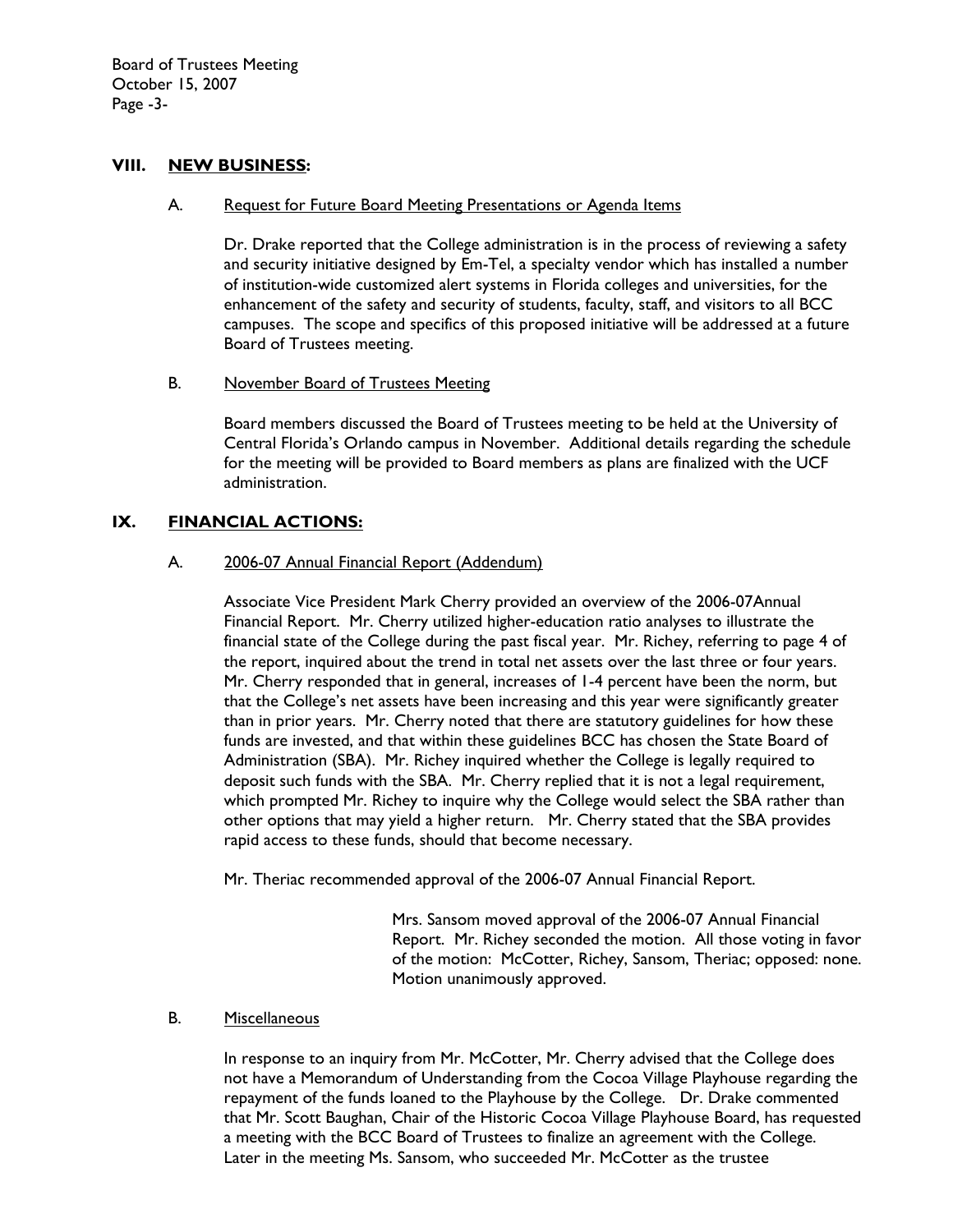Board of Trustees Meeting October 15, 2007 Page -3-

### **VIII. NEW BUSINESS:**

#### A. Request for Future Board Meeting Presentations or Agenda Items

Dr. Drake reported that the College administration is in the process of reviewing a safety and security initiative designed by Em-Tel, a specialty vendor which has installed a number of institution-wide customized alert systems in Florida colleges and universities, for the enhancement of the safety and security of students, faculty, staff, and visitors to all BCC campuses. The scope and specifics of this proposed initiative will be addressed at a future Board of Trustees meeting.

# B. November Board of Trustees Meeting

Board members discussed the Board of Trustees meeting to be held at the University of Central Florida's Orlando campus in November. Additional details regarding the schedule for the meeting will be provided to Board members as plans are finalized with the UCF administration.

## **IX. FINANCIAL ACTIONS:**

### A. 2006-07 Annual Financial Report (Addendum)

Associate Vice President Mark Cherry provided an overview of the 2006-07Annual Financial Report. Mr. Cherry utilized higher-education ratio analyses to illustrate the financial state of the College during the past fiscal year. Mr. Richey, referring to page 4 of the report, inquired about the trend in total net assets over the last three or four years. Mr. Cherry responded that in general, increases of 1-4 percent have been the norm, but that the College's net assets have been increasing and this year were significantly greater than in prior years. Mr. Cherry noted that there are statutory guidelines for how these funds are invested, and that within these guidelines BCC has chosen the State Board of Administration (SBA). Mr. Richey inquired whether the College is legally required to deposit such funds with the SBA. Mr. Cherry replied that it is not a legal requirement, which prompted Mr. Richey to inquire why the College would select the SBA rather than other options that may yield a higher return. Mr. Cherry stated that the SBA provides rapid access to these funds, should that become necessary.

Mr. Theriac recommended approval of the 2006-07 Annual Financial Report.

Mrs. Sansom moved approval of the 2006-07 Annual Financial Report. Mr. Richey seconded the motion. All those voting in favor of the motion: McCotter, Richey, Sansom, Theriac; opposed: none. Motion unanimously approved.

#### B. Miscellaneous

In response to an inquiry from Mr. McCotter, Mr. Cherry advised that the College does not have a Memorandum of Understanding from the Cocoa Village Playhouse regarding the repayment of the funds loaned to the Playhouse by the College. Dr. Drake commented that Mr. Scott Baughan, Chair of the Historic Cocoa Village Playhouse Board, has requested a meeting with the BCC Board of Trustees to finalize an agreement with the College. Later in the meeting Ms. Sansom, who succeeded Mr. McCotter as the trustee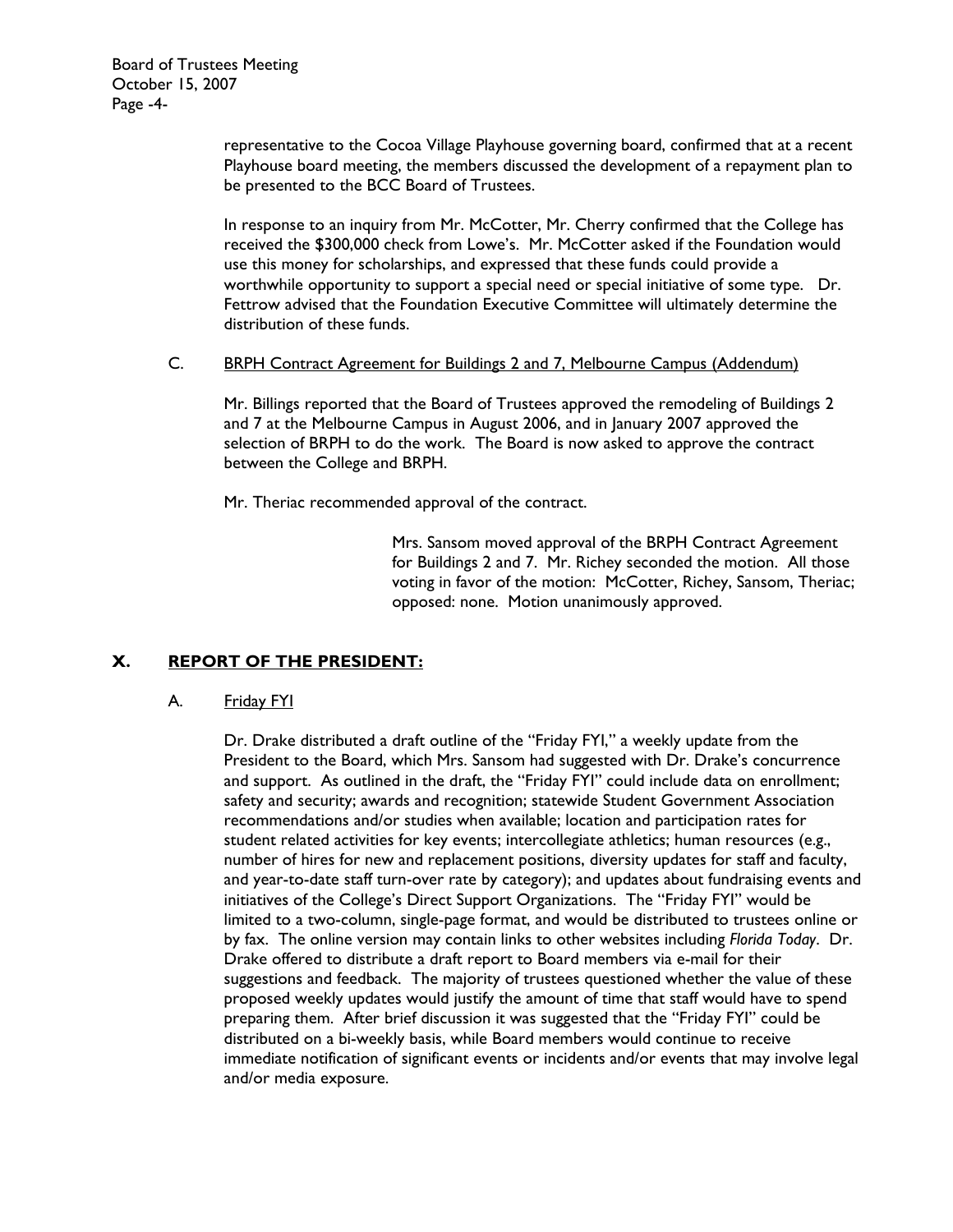representative to the Cocoa Village Playhouse governing board, confirmed that at a recent Playhouse board meeting, the members discussed the development of a repayment plan to be presented to the BCC Board of Trustees.

In response to an inquiry from Mr. McCotter, Mr. Cherry confirmed that the College has received the \$300,000 check from Lowe's. Mr. McCotter asked if the Foundation would use this money for scholarships, and expressed that these funds could provide a worthwhile opportunity to support a special need or special initiative of some type. Dr. Fettrow advised that the Foundation Executive Committee will ultimately determine the distribution of these funds.

### C. BRPH Contract Agreement for Buildings 2 and 7, Melbourne Campus (Addendum)

 Mr. Billings reported that the Board of Trustees approved the remodeling of Buildings 2 and 7 at the Melbourne Campus in August 2006, and in January 2007 approved the selection of BRPH to do the work. The Board is now asked to approve the contract between the College and BRPH.

Mr. Theriac recommended approval of the contract.

Mrs. Sansom moved approval of the BRPH Contract Agreement for Buildings 2 and 7. Mr. Richey seconded the motion. All those voting in favor of the motion: McCotter, Richey, Sansom, Theriac; opposed: none. Motion unanimously approved.

# **X. REPORT OF THE PRESIDENT:**

## A. Friday FYI

Dr. Drake distributed a draft outline of the "Friday FYI," a weekly update from the President to the Board, which Mrs. Sansom had suggested with Dr. Drake's concurrence and support. As outlined in the draft, the "Friday FYI" could include data on enrollment; safety and security; awards and recognition; statewide Student Government Association recommendations and/or studies when available; location and participation rates for student related activities for key events; intercollegiate athletics; human resources (e.g., number of hires for new and replacement positions, diversity updates for staff and faculty, and year-to-date staff turn-over rate by category); and updates about fundraising events and initiatives of the College's Direct Support Organizations. The "Friday FYI" would be limited to a two-column, single-page format, and would be distributed to trustees online or by fax. The online version may contain links to other websites including *Florida Today*. Dr. Drake offered to distribute a draft report to Board members via e-mail for their suggestions and feedback. The majority of trustees questioned whether the value of these proposed weekly updates would justify the amount of time that staff would have to spend preparing them. After brief discussion it was suggested that the "Friday FYI" could be distributed on a bi-weekly basis, while Board members would continue to receive immediate notification of significant events or incidents and/or events that may involve legal and/or media exposure.